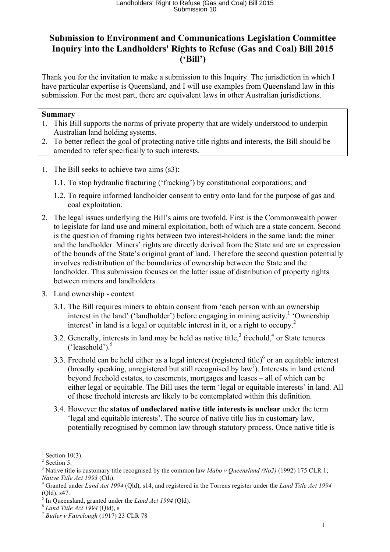## **Submission to Environment and Communications Legislation Committee Inquiry into the Landholders' Rights to Refuse (Gas and Coal) Bill 2015 ('Bill')**

Thank you for the invitation to make a submission to this Inquiry. The jurisdiction in which I have particular expertise is Queensland, and I will use examples from Queensland law in this submission. For the most part, there are equivalent laws in other Australian jurisdictions.

## **Summary**

- 1. This Bill supports the norms of private property that are widely understood to underpin Australian land holding systems.
- 2. To better reflect the goal of protecting native title rights and interests, the Bill should be amended to refer specifically to such interests.
- 1. The Bill seeks to achieve two aims (s3):
	- 1.1. To stop hydraulic fracturing ('fracking') by constitutional corporations; and
	- 1.2. To require informed landholder consent to entry onto land for the purpose of gas and coal exploitation.
- 2. The legal issues underlying the Bill's aims are twofold. First is the Commonwealth power to legislate for land use and mineral exploitation, both of which are a state concern. Second is the question of framing rights between two interest-holders in the same land: the miner and the landholder. Miners' rights are directly derived from the State and are an expression of the bounds of the State's original grant of land. Therefore the second question potentially involves redistribution of the boundaries of ownership between the State and the landholder. This submission focuses on the latter issue of distribution of property rights between miners and landholders.
- 3. Land ownership context
	- 3.1. The Bill requires miners to obtain consent from 'each person with an ownership interest in the land' ('landholder') before engaging in mining activity.<sup>1</sup> 'Ownership interest' in land is a legal or equitable interest in it, or a right to occupy.<sup>2</sup>
	- 3.2. Generally, interests in land may be held as native title,  $3$  freehold,  $4$  or State tenures  $('leasehold')$ .<sup>5</sup>
	- 3.3. Freehold can be held either as a legal interest (registered title) $<sup>6</sup>$  or an equitable interest</sup> (broadly speaking, unregistered but still recognised by law<sup>7</sup>). Interests in land extend beyond freehold estates, to easements, mortgages and leases – all of which can be either legal or equitable. The Bill uses the term 'legal or equitable interests' in land. All of these freehold interests are likely to be contemplated within this definition.
	- 3.4. However the **status of undeclared native title interests is unclear** under the term 'legal and equitable interests'. The source of native title lies in customary law, potentially recognised by common law through statutory process. Once native title is

Section  $10(3)$ .

 $2$  Section 5.

<sup>&</sup>lt;sup>3</sup> Native title is customary title recognised by the common law *Mabo v Queensland (No2)* (1992) 175 CLR 1;

*Native Title Act 1993* (Cth).<br><sup>4</sup> Granted under *Land Act 1994* (Qld), s14, and registered in the Torrens register under the *Land Title Act 1994*  $(Qld), s47.$ 

<sup>5</sup> In Queensland, granted under the *Land Act 1994* (Qld). <sup>6</sup> *Land Title Act 1994* (Qld), s <sup>7</sup> *Butler v Fairclough* (1917) 23 CLR 78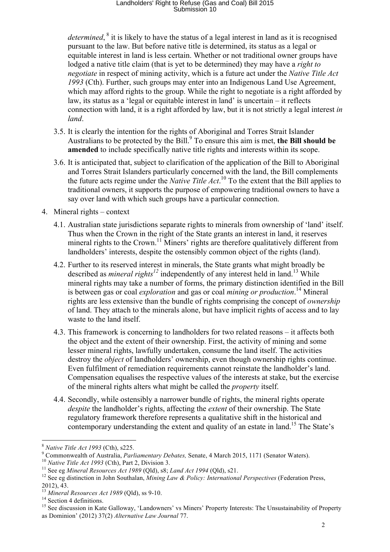## Landholders' Right to Refuse (Gas and Coal) Bill 2015 Submission 10

*determined*, <sup>8</sup> it is likely to have the status of a legal interest in land as it is recognised pursuant to the law. But before native title is determined, its status as a legal or equitable interest in land is less certain. Whether or not traditional owner groups have lodged a native title claim (that is yet to be determined) they may have a *right to negotiate* in respect of mining activity, which is a future act under the *Native Title Act 1993* (Cth). Further, such groups may enter into an Indigenous Land Use Agreement, which may afford rights to the group. While the right to negotiate is a right afforded by law, its status as a 'legal or equitable interest in land' is uncertain – it reflects connection with land, it is a right afforded by law, but it is not strictly a legal interest *in land*.

- 3.5. It is clearly the intention for the rights of Aboriginal and Torres Strait Islander Australians to be protected by the Bill. <sup>9</sup> To ensure this aim is met, **the Bill should be amended** to include specifically native title rights and interests within its scope.
- 3.6. It is anticipated that, subject to clarification of the application of the Bill to Aboriginal and Torres Strait Islanders particularly concerned with the land, the Bill complements the future acts regime under the *Native Title Act*. <sup>10</sup> To the extent that the Bill applies to traditional owners, it supports the purpose of empowering traditional owners to have a say over land with which such groups have a particular connection.
- 4. Mineral rights context
	- 4.1. Australian state jurisdictions separate rights to minerals from ownership of 'land' itself. Thus when the Crown in the right of the State grants an interest in land, it reserves mineral rights to the Crown.<sup>11</sup> Miners' rights are therefore qualitatively different from landholders' interests, despite the ostensibly common object of the rights (land).
	- 4.2. Further to its reserved interest in minerals, the State grants what might broadly be described as *mineral rights<sup>12</sup>* independently of any interest held in land.<sup>13</sup> While mineral rights may take a number of forms, the primary distinction identified in the Bill is between gas or coal *exploration* and gas or coal *mining or production*. <sup>14</sup> Mineral rights are less extensive than the bundle of rights comprising the concept of *ownership* of land. They attach to the minerals alone, but have implicit rights of access and to lay waste to the land itself.
	- 4.3. This framework is concerning to landholders for two related reasons it affects both the object and the extent of their ownership. First, the activity of mining and some lesser mineral rights, lawfully undertaken, consume the land itself. The activities destroy the *object* of landholders' ownership, even though ownership rights continue. Even fulfilment of remediation requirements cannot reinstate the landholder's land. Compensation equalises the respective values of the interests at stake, but the exercise of the mineral rights alters what might be called the *property* itself.
	- 4.4. Secondly, while ostensibly a narrower bundle of rights, the mineral rights operate *despite* the landholder's rights, affecting the *extent* of their ownership. The State regulatory framework therefore represents a qualitative shift in the historical and contemporary understanding the extent and quality of an estate in land.<sup>15</sup> The State's

<sup>&</sup>lt;sup>8</sup> Native Title Act 1993 (Cth), s225.<br><sup>9</sup> Commonwealth of Australia, *Parliamentary Debates*, Senate, 4 March 2015, 1171 (Senator Waters).<br><sup>10</sup> Native Title Act 1993 (Cth), Part 2, Division 3.<br><sup>11</sup> See eg *Mineral Resour* 

<sup>2012), 43.&</sup>lt;br><sup>13</sup> Mineral Resources Act 1989 (Qld), ss 9-10.

<sup>14</sup> Section 4 definitions.<br><sup>15</sup> See discussion in Kate Galloway, 'Landowners' vs Miners' Property Interests: The Unsustainability of Property as Dominion' (2012) 37(2) *Alternative Law Journal* 77.